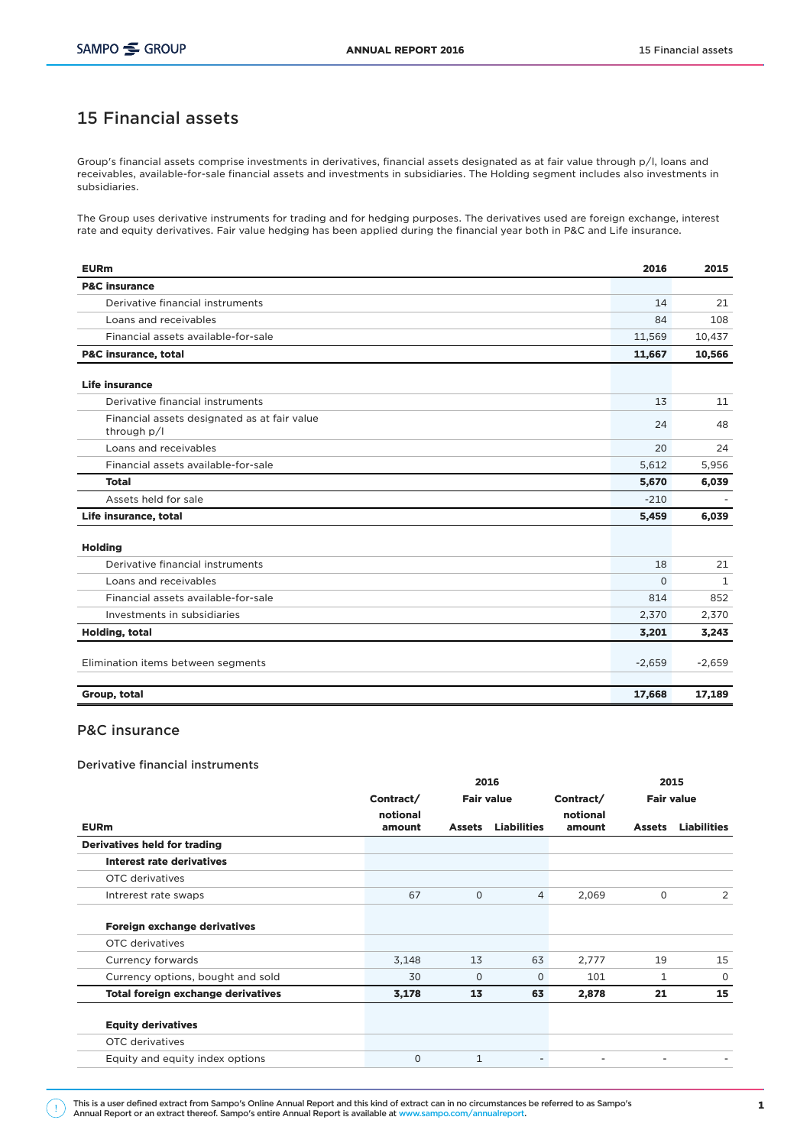# 15 Financial assets

Group's financial assets comprise investments in derivatives, financial assets designated as at fair value through p/l, loans and receivables, available-for-sale financial assets and investments in subsidiaries. The Holding segment includes also investments in subsidiaries.

The Group uses derivative instruments for trading and for hedging purposes. The derivatives used are foreign exchange, interest rate and equity derivatives. Fair value hedging has been applied during the financial year both in P&C and Life insurance.

| <b>EURm</b>                                                 | 2016     | 2015         |
|-------------------------------------------------------------|----------|--------------|
| <b>P&amp;C</b> insurance                                    |          |              |
| Derivative financial instruments                            | 14       | 21           |
| Loans and receivables                                       | 84       | 108          |
| Financial assets available-for-sale                         | 11,569   | 10,437       |
| <b>P&amp;C insurance, total</b>                             | 11,667   | 10,566       |
| <b>Life insurance</b>                                       |          |              |
| Derivative financial instruments                            | 13       | 11           |
| Financial assets designated as at fair value<br>through p/l | 24       | 48           |
| Loans and receivables                                       | 20       | 24           |
| Financial assets available-for-sale                         | 5,612    | 5,956        |
| <b>Total</b>                                                | 5,670    | 6,039        |
| Assets held for sale                                        | $-210$   |              |
| Life insurance, total                                       | 5,459    | 6,039        |
| <b>Holding</b>                                              |          |              |
| Derivative financial instruments                            | 18       | 21           |
| Loans and receivables                                       | $\Omega$ | $\mathbf{1}$ |
| Financial assets available-for-sale                         | 814      | 852          |
| Investments in subsidiaries                                 | 2,370    | 2,370        |
| <b>Holding, total</b>                                       | 3,201    | 3,243        |
| Elimination items between segments                          | $-2,659$ | $-2,659$     |
| Group, total                                                | 17,668   | 17,189       |

# P&C insurance

## Derivative financial instruments

|                    | 2015          |                          |                    |                   |                    |
|--------------------|---------------|--------------------------|--------------------|-------------------|--------------------|
| Contract/          |               | <b>Fair value</b>        |                    | <b>Fair value</b> |                    |
| notional<br>amount | <b>Assets</b> | <b>Liabilities</b>       | notional<br>amount | <b>Assets</b>     | <b>Liabilities</b> |
|                    |               |                          |                    |                   |                    |
|                    |               |                          |                    |                   |                    |
|                    |               |                          |                    |                   |                    |
| 67                 | $\mathbf 0$   | $\overline{4}$           | 2,069              | 0                 | 2                  |
|                    |               |                          |                    |                   |                    |
|                    |               |                          |                    |                   |                    |
| 3,148              | 13            | 63                       | 2,777              | 19                | 15                 |
| 30                 | $\Omega$      | $\Omega$                 | 101                | $\mathbf{1}$      | 0                  |
| 3,178              | 13            | 63                       | 2,878              | 21                | 15                 |
|                    |               |                          |                    |                   |                    |
|                    |               |                          |                    |                   |                    |
| $\mathbf 0$        | $\mathbf{1}$  | $\overline{\phantom{a}}$ |                    |                   |                    |
|                    |               |                          |                    | Contract/         | 2016               |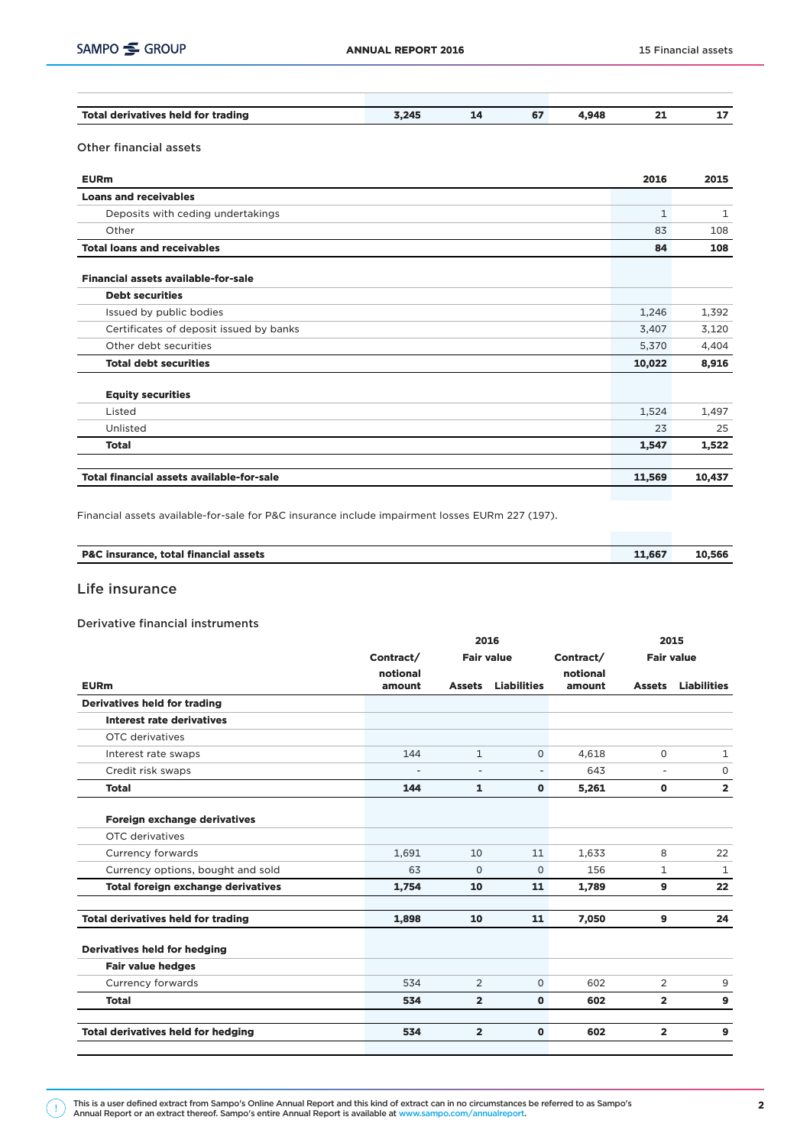| Total derivatives held for trading | 3.245 | $\sim$<br>$\mathbf{v}$ | .948 | -- | -- |
|------------------------------------|-------|------------------------|------|----|----|

# Other financial assets

| <b>EURm</b>                                | 2016         | 2015   |
|--------------------------------------------|--------------|--------|
| <b>Loans and receivables</b>               |              |        |
| Deposits with ceding undertakings          | $\mathbf{1}$ | 1      |
| Other                                      | 83           | 108    |
| <b>Total loans and receivables</b>         | 84           | 108    |
| <b>Financial assets available-for-sale</b> |              |        |
| <b>Debt securities</b>                     |              |        |
| Issued by public bodies                    | 1,246        | 1,392  |
| Certificates of deposit issued by banks    | 3,407        | 3,120  |
| Other debt securities                      | 5,370        | 4,404  |
| <b>Total debt securities</b>               | 10,022       | 8,916  |
| <b>Equity securities</b>                   |              |        |
| Listed                                     | 1,524        | 1,497  |
| Unlisted                                   | 23           | 25     |
| <b>Total</b>                               | 1,547        | 1,522  |
| Total financial assets available-for-sale  | 11,569       | 10,437 |
|                                            |              |        |

Financial assets available-for-sale for P&C insurance include impairment losses EURm 227 (197).

| P&C insurance, total financial assets | 11.667 | 10,566 |
|---------------------------------------|--------|--------|
|                                       |        |        |

# Life insurance

### Derivative financial instruments

|                                           |                          | 2015              |                          |                    |                   |                    |
|-------------------------------------------|--------------------------|-------------------|--------------------------|--------------------|-------------------|--------------------|
|                                           | Contract/                | <b>Fair value</b> |                          | Contract/          | <b>Fair value</b> |                    |
| <b>EURm</b>                               | notional<br>amount       | <b>Assets</b>     | <b>Liabilities</b>       | notional<br>amount | <b>Assets</b>     | <b>Liabilities</b> |
| <b>Derivatives held for trading</b>       |                          |                   |                          |                    |                   |                    |
| Interest rate derivatives                 |                          |                   |                          |                    |                   |                    |
| OTC derivatives                           |                          |                   |                          |                    |                   |                    |
| Interest rate swaps                       | 144                      | $\mathbf{1}$      | $\Omega$                 | 4.618              | $\Omega$          | 1                  |
| Credit risk swaps                         | $\overline{\phantom{a}}$ | Ξ.                | $\overline{\phantom{a}}$ | 643                | $\blacksquare$    | $\mathbf 0$        |
| <b>Total</b>                              | 144                      | $\mathbf{1}$      | $\mathbf 0$              | 5,261              | $\mathbf 0$       | $\overline{2}$     |
| Foreign exchange derivatives              |                          |                   |                          |                    |                   |                    |
| OTC derivatives                           |                          |                   |                          |                    |                   |                    |
| Currency forwards                         | 1.691                    | 10                | 11                       | 1.633              | 8                 | 22                 |
| Currency options, bought and sold         | 63                       | $\Omega$          | $\mathbf 0$              | 156                | 1                 | $\mathbf{1}$       |
| <b>Total foreign exchange derivatives</b> | 1,754                    | 10                | 11                       | 1,789              | $\mathbf{9}$      | 22                 |
| <b>Total derivatives held for trading</b> | 1,898                    | 10                | 11                       | 7,050              | $\overline{9}$    | 24                 |
| Derivatives held for hedging              |                          |                   |                          |                    |                   |                    |
| <b>Fair value hedges</b>                  |                          |                   |                          |                    |                   |                    |
| Currency forwards                         | 534                      | 2                 | $\Omega$                 | 602                | 2                 | 9                  |
| <b>Total</b>                              | 534                      | $\overline{2}$    | $\mathbf{0}$             | 602                | $\overline{2}$    | $\mathbf{9}$       |
| <b>Total derivatives held for hedging</b> | 534                      | $\overline{2}$    | $\mathbf{0}$             | 602                | $\overline{2}$    | $\mathbf{9}$       |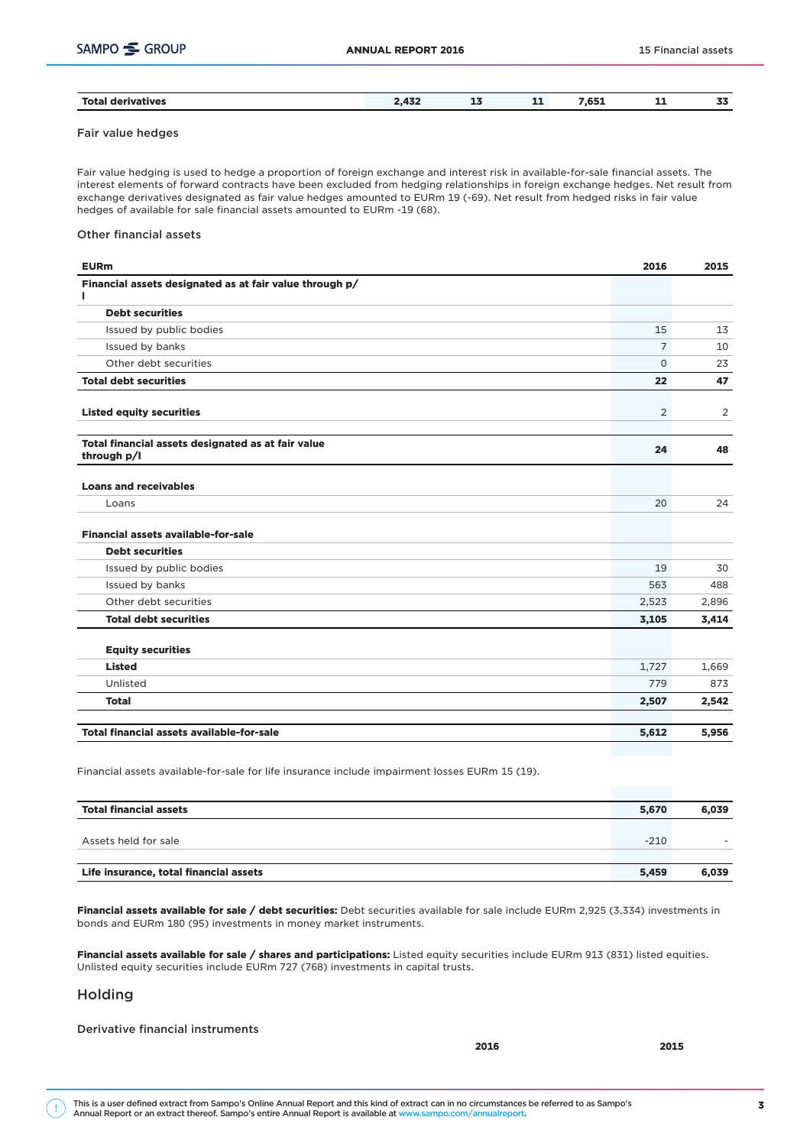| <b>Total derivatives</b> | 470<br>4,454 | $-1.00$<br>--<br>$-$ | - -<br>--- | 7 CE4<br>⊥כס.י<br>$\sim$ $\sim$ | --<br>55 |
|--------------------------|--------------|----------------------|------------|---------------------------------|----------|
|                          |              |                      |            |                                 |          |

### Fair value hedges

Fair value hedging is used to hedge a proportion of foreign exchange and interest risk in available-for-sale financial assets. The interest elements of forward contracts have been excluded from hedging relationships in foreign exchange hedges. Net result from exchange derivatives designated as fair value hedges amounted to EURm 19 (-69). Net result from hedged risks in fair value hedges of available for sale financial assets amounted to EURm -19 (68).

#### Other financial assets

| <b>EURm</b>                                                       | 2016           | 2015  |
|-------------------------------------------------------------------|----------------|-------|
| Financial assets designated as at fair value through p/<br>L      |                |       |
| <b>Debt securities</b>                                            |                |       |
| Issued by public bodies                                           | 15             | 13    |
| Issued by banks                                                   | $\overline{7}$ | 10    |
| Other debt securities                                             | $\mathbf 0$    | 23    |
| <b>Total debt securities</b>                                      | 22             | 47    |
| <b>Listed equity securities</b>                                   | 2              | 2     |
| Total financial assets designated as at fair value<br>through p/l | 24             | 48    |
| <b>Loans and receivables</b>                                      |                |       |
| Loans                                                             | 20             | 24    |
| Financial assets available-for-sale                               |                |       |
| <b>Debt securities</b>                                            |                |       |
| Issued by public bodies                                           | 19             | 30    |
| Issued by banks                                                   | 563            | 488   |
| Other debt securities                                             | 2,523          | 2,896 |
| <b>Total debt securities</b>                                      | 3,105          | 3,414 |
| <b>Equity securities</b>                                          |                |       |
| <b>Listed</b>                                                     | 1,727          | 1,669 |
| Unlisted                                                          | 779            | 873   |
| <b>Total</b>                                                      | 2,507          | 2,542 |
| <b>Total financial assets available-for-sale</b>                  | 5,612          | 5,956 |

Financial assets available-for-sale for life insurance include impairment losses EURm 15 (19).

| <b>Total financial assets</b>          | 5.670  | 6,039 |
|----------------------------------------|--------|-------|
|                                        |        |       |
| Assets held for sale                   | $-210$ |       |
|                                        |        |       |
| Life insurance, total financial assets | 5,459  | 6,039 |

Financial assets available for sale / debt securities: Debt securities available for sale include EURm 2,925 (3,334) investments in bonds and EURm 180 (95) investments in money market instruments.

Financial assets available for sale / shares and participations: Listed equity securities include EURm 913 (831) listed equities. Unlisted equity securities include EURm 727 (768) investments in capital trusts.

### Holding

Derivative financial instruments

2016 2015